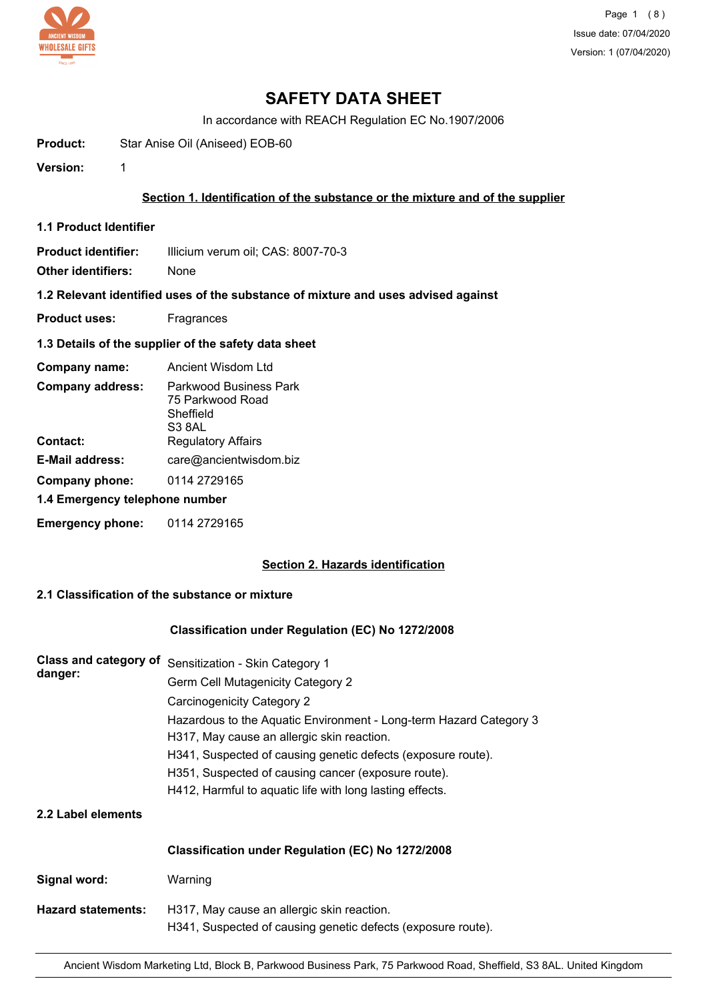

# **SAFETY DATA SHEET**

In accordance with REACH Regulation EC No.1907/2006

**Product:** Star Anise Oil (Aniseed) EOB-60

**Version:** 1

### **Section 1. Identification of the substance or the mixture and of the supplier**

**1.1 Product Identifier**

**Product identifier:** Illicium verum oil; CAS: 8007-70-3

**Other identifiers:** None

**1.2 Relevant identified uses of the substance of mixture and uses advised against**

- **Product uses:** Fragrances
- **1.3 Details of the supplier of the safety data sheet**

| Company name:                       | Ancient Wisdom Ltd                                                                      |  |
|-------------------------------------|-----------------------------------------------------------------------------------------|--|
| <b>Company address:</b><br>Contact: | Parkwood Business Park<br>75 Parkwood Road<br>Sheffield<br>S3 8AL<br>Regulatory Affairs |  |
| E-Mail address:                     | care@ancientwisdom.biz                                                                  |  |
| Company phone:                      | 0114 2729165                                                                            |  |
| 1.4 Emergency telephone number      |                                                                                         |  |
| <b>Emergency phone:</b>             | 0114 2729165                                                                            |  |

### **Section 2. Hazards identification**

## **2.1 Classification of the substance or mixture**

### **Classification under Regulation (EC) No 1272/2008**

| Class and category of<br>danger: | Sensitization - Skin Category 1                                                                                  |
|----------------------------------|------------------------------------------------------------------------------------------------------------------|
|                                  | Germ Cell Mutagenicity Category 2                                                                                |
|                                  | Carcinogenicity Category 2                                                                                       |
|                                  | Hazardous to the Aquatic Environment - Long-term Hazard Category 3<br>H317, May cause an allergic skin reaction. |
|                                  | H341, Suspected of causing genetic defects (exposure route).                                                     |
|                                  | H351, Suspected of causing cancer (exposure route).                                                              |
|                                  | H412, Harmful to aquatic life with long lasting effects.                                                         |
| 2.2 Label elements               |                                                                                                                  |
|                                  | Classification under Regulation (EC) No 1272/2008                                                                |
| Signal word:                     | Warning                                                                                                          |
| <b>Hazard statements:</b>        | H317, May cause an allergic skin reaction.<br>H341, Suspected of causing genetic defects (exposure route).       |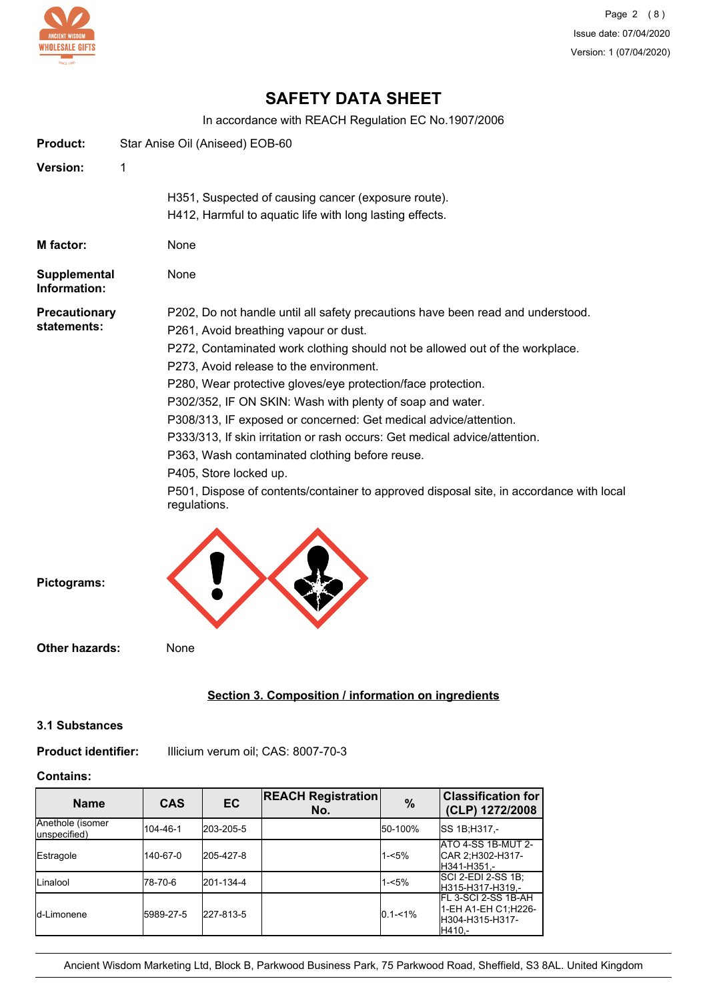

# **SAFETY DATA SHEET**

In accordance with REACH Regulation EC No.1907/2006

| <b>Product:</b>                     |   | Star Anise Oil (Aniseed) EOB-60                                                                                                                                                                                                                                                                                                                                                                                                                                                                                                                                                                                                                                                                                           |
|-------------------------------------|---|---------------------------------------------------------------------------------------------------------------------------------------------------------------------------------------------------------------------------------------------------------------------------------------------------------------------------------------------------------------------------------------------------------------------------------------------------------------------------------------------------------------------------------------------------------------------------------------------------------------------------------------------------------------------------------------------------------------------------|
| <b>Version:</b>                     | 1 |                                                                                                                                                                                                                                                                                                                                                                                                                                                                                                                                                                                                                                                                                                                           |
|                                     |   | H351, Suspected of causing cancer (exposure route).<br>H412, Harmful to aquatic life with long lasting effects.                                                                                                                                                                                                                                                                                                                                                                                                                                                                                                                                                                                                           |
| M factor:                           |   | None                                                                                                                                                                                                                                                                                                                                                                                                                                                                                                                                                                                                                                                                                                                      |
| <b>Supplemental</b><br>Information: |   | None                                                                                                                                                                                                                                                                                                                                                                                                                                                                                                                                                                                                                                                                                                                      |
| <b>Precautionary</b><br>statements: |   | P202, Do not handle until all safety precautions have been read and understood.<br>P261, Avoid breathing vapour or dust.<br>P272, Contaminated work clothing should not be allowed out of the workplace.<br>P273, Avoid release to the environment.<br>P280, Wear protective gloves/eye protection/face protection.<br>P302/352, IF ON SKIN: Wash with plenty of soap and water.<br>P308/313, IF exposed or concerned: Get medical advice/attention.<br>P333/313, If skin irritation or rash occurs: Get medical advice/attention.<br>P363, Wash contaminated clothing before reuse.<br>P405, Store locked up.<br>P501, Dispose of contents/container to approved disposal site, in accordance with local<br>regulations. |
| Pictograms:                         |   |                                                                                                                                                                                                                                                                                                                                                                                                                                                                                                                                                                                                                                                                                                                           |
| <b>Other hazards:</b>               |   | None                                                                                                                                                                                                                                                                                                                                                                                                                                                                                                                                                                                                                                                                                                                      |

## **Section 3. Composition / information on ingredients**

#### **3.1 Substances**

## **Product identifier:** Illicium verum oil; CAS: 8007-70-3

## **Contains:**

| <b>Name</b>                      | <b>CAS</b> | EC        | <b>REACH Registration</b><br>No. | $\%$        | <b>Classification for</b><br>(CLP) 1272/2008                             |
|----------------------------------|------------|-----------|----------------------------------|-------------|--------------------------------------------------------------------------|
| Anethole (isomer<br>unspecified) | 104-46-1   | 203-205-5 |                                  | 50-100%     | SS 1B:H317,-                                                             |
| Estragole                        | 140-67-0   | 205-427-8 |                                  | $1 - 5%$    | ATO 4-SS 1B-MUT 2-<br>CAR 2:H302-H317-<br>H341-H351,-                    |
| Linalool                         | 178-70-6   | 201-134-4 |                                  | $1 - 5%$    | ISCI 2-EDI 2-SS 1B:<br>IH315-H317-H319.-                                 |
| Id-Limonene                      | 5989-27-5  | 227-813-5 |                                  | $0.1 - 1\%$ | IFL 3-SCI 2-SS 1B-AH<br>1-EH A1-EH C1:H226-<br>H304-H315-H317-<br>H410.- |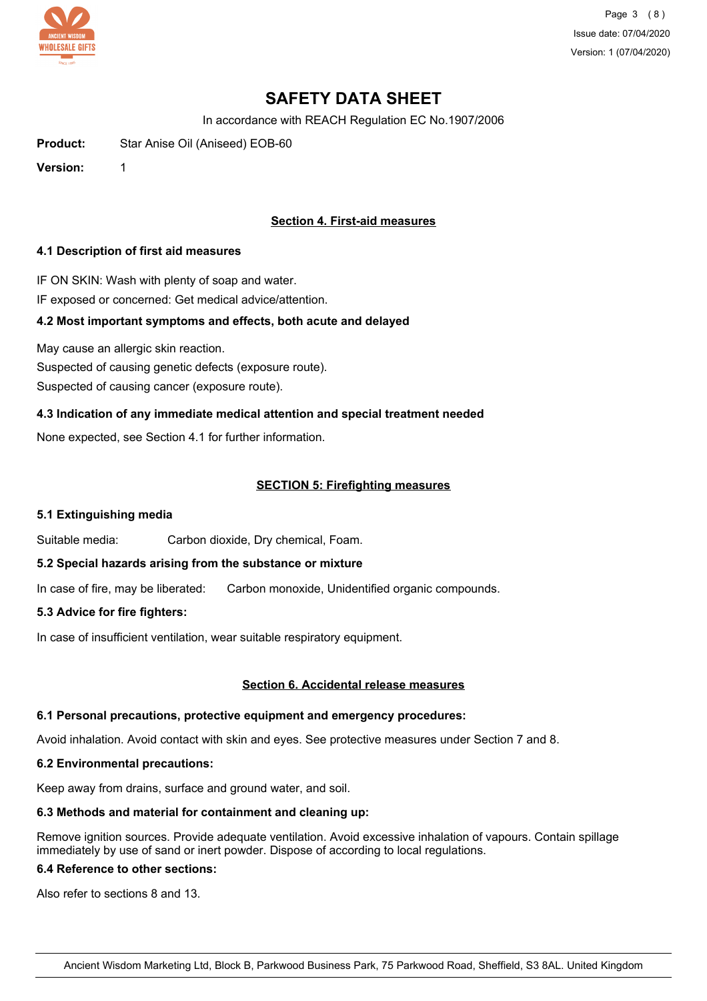

Page 3 (8) Issue date: 07/04/2020 Version: 1 (07/04/2020)

# **SAFETY DATA SHEET**

In accordance with REACH Regulation EC No.1907/2006

**Product:** Star Anise Oil (Aniseed) EOB-60

**Version:** 1

### **Section 4. First-aid measures**

#### **4.1 Description of first aid measures**

IF ON SKIN: Wash with plenty of soap and water. IF exposed or concerned: Get medical advice/attention.

## **4.2 Most important symptoms and effects, both acute and delayed**

May cause an allergic skin reaction. Suspected of causing genetic defects (exposure route). Suspected of causing cancer (exposure route).

## **4.3 Indication of any immediate medical attention and special treatment needed**

None expected, see Section 4.1 for further information.

## **SECTION 5: Firefighting measures**

### **5.1 Extinguishing media**

Suitable media: Carbon dioxide, Dry chemical, Foam.

### **5.2 Special hazards arising from the substance or mixture**

In case of fire, may be liberated: Carbon monoxide, Unidentified organic compounds.

### **5.3 Advice for fire fighters:**

In case of insufficient ventilation, wear suitable respiratory equipment.

### **Section 6. Accidental release measures**

### **6.1 Personal precautions, protective equipment and emergency procedures:**

Avoid inhalation. Avoid contact with skin and eyes. See protective measures under Section 7 and 8.

### **6.2 Environmental precautions:**

Keep away from drains, surface and ground water, and soil.

## **6.3 Methods and material for containment and cleaning up:**

Remove ignition sources. Provide adequate ventilation. Avoid excessive inhalation of vapours. Contain spillage immediately by use of sand or inert powder. Dispose of according to local regulations.

### **6.4 Reference to other sections:**

Also refer to sections 8 and 13.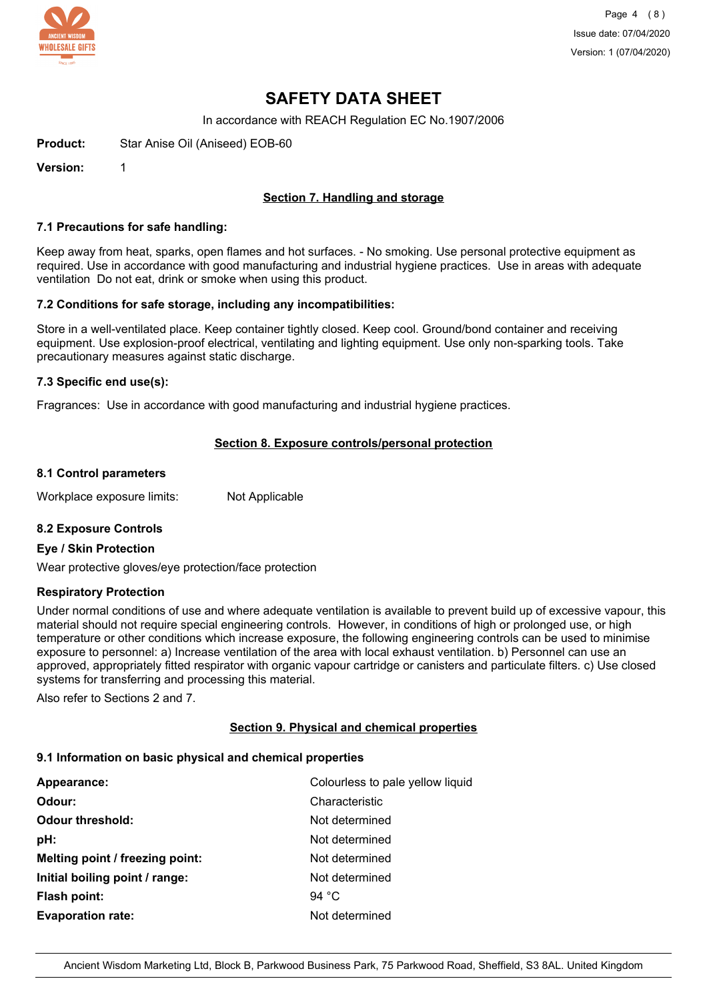

Page 4 (8) Issue date: 07/04/2020 Version: 1 (07/04/2020)

## **SAFETY DATA SHEET**

In accordance with REACH Regulation EC No.1907/2006

**Product:** Star Anise Oil (Aniseed) EOB-60

**Version:** 1

### **Section 7. Handling and storage**

#### **7.1 Precautions for safe handling:**

Keep away from heat, sparks, open flames and hot surfaces. - No smoking. Use personal protective equipment as required. Use in accordance with good manufacturing and industrial hygiene practices. Use in areas with adequate ventilation Do not eat, drink or smoke when using this product.

#### **7.2 Conditions for safe storage, including any incompatibilities:**

Store in a well-ventilated place. Keep container tightly closed. Keep cool. Ground/bond container and receiving equipment. Use explosion-proof electrical, ventilating and lighting equipment. Use only non-sparking tools. Take precautionary measures against static discharge.

#### **7.3 Specific end use(s):**

Fragrances: Use in accordance with good manufacturing and industrial hygiene practices.

### **Section 8. Exposure controls/personal protection**

#### **8.1 Control parameters**

Workplace exposure limits: Not Applicable

### **8.2 Exposure Controls**

#### **Eye / Skin Protection**

Wear protective gloves/eye protection/face protection

### **Respiratory Protection**

Under normal conditions of use and where adequate ventilation is available to prevent build up of excessive vapour, this material should not require special engineering controls. However, in conditions of high or prolonged use, or high temperature or other conditions which increase exposure, the following engineering controls can be used to minimise exposure to personnel: a) Increase ventilation of the area with local exhaust ventilation. b) Personnel can use an approved, appropriately fitted respirator with organic vapour cartridge or canisters and particulate filters. c) Use closed systems for transferring and processing this material.

Also refer to Sections 2 and 7.

### **Section 9. Physical and chemical properties**

#### **9.1 Information on basic physical and chemical properties**

| Appearance:                     | Colourless to pale yellow liquid |
|---------------------------------|----------------------------------|
| Odour:                          | Characteristic                   |
| <b>Odour threshold:</b>         | Not determined                   |
| pH:                             | Not determined                   |
| Melting point / freezing point: | Not determined                   |
| Initial boiling point / range:  | Not determined                   |
| Flash point:                    | 94 $^{\circ}$ C                  |
| <b>Evaporation rate:</b>        | Not determined                   |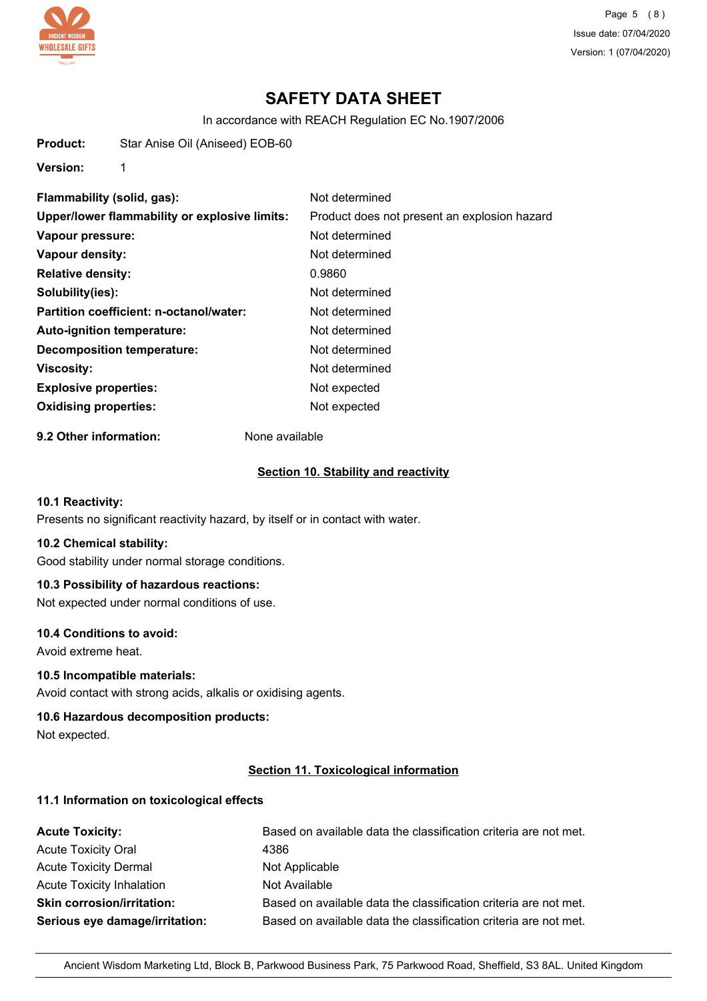

Page 5 (8) Issue date: 07/04/2020 Version: 1 (07/04/2020)

# **SAFETY DATA SHEET**

In accordance with REACH Regulation EC No.1907/2006

**Product:** Star Anise Oil (Aniseed) EOB-60

**Version:** 1

| Flammability (solid, gas):                    | Not determined                               |
|-----------------------------------------------|----------------------------------------------|
| Upper/lower flammability or explosive limits: | Product does not present an explosion hazard |
| Vapour pressure:                              | Not determined                               |
| Vapour density:                               | Not determined                               |
| <b>Relative density:</b>                      | 0.9860                                       |
| Solubility(ies):                              | Not determined                               |
| Partition coefficient: n-octanol/water:       | Not determined                               |
| Auto-ignition temperature:                    | Not determined                               |
| <b>Decomposition temperature:</b>             | Not determined                               |
| <b>Viscosity:</b>                             | Not determined                               |
| <b>Explosive properties:</b>                  | Not expected                                 |
| <b>Oxidising properties:</b>                  | Not expected                                 |
|                                               |                                              |

**9.2 Other information:** None available

#### **Section 10. Stability and reactivity**

### **10.1 Reactivity:**

Presents no significant reactivity hazard, by itself or in contact with water.

#### **10.2 Chemical stability:**

Good stability under normal storage conditions.

#### **10.3 Possibility of hazardous reactions:**

Not expected under normal conditions of use.

#### **10.4 Conditions to avoid:**

Avoid extreme heat.

#### **10.5 Incompatible materials:**

Avoid contact with strong acids, alkalis or oxidising agents.

#### **10.6 Hazardous decomposition products:**

Not expected.

#### **Section 11. Toxicological information**

### **11.1 Information on toxicological effects**

| <b>Acute Toxicity:</b>            | Based on available data the classification criteria are not met. |
|-----------------------------------|------------------------------------------------------------------|
| <b>Acute Toxicity Oral</b>        | 4386                                                             |
| <b>Acute Toxicity Dermal</b>      | Not Applicable                                                   |
| <b>Acute Toxicity Inhalation</b>  | Not Available                                                    |
| <b>Skin corrosion/irritation:</b> | Based on available data the classification criteria are not met. |
| Serious eye damage/irritation:    | Based on available data the classification criteria are not met. |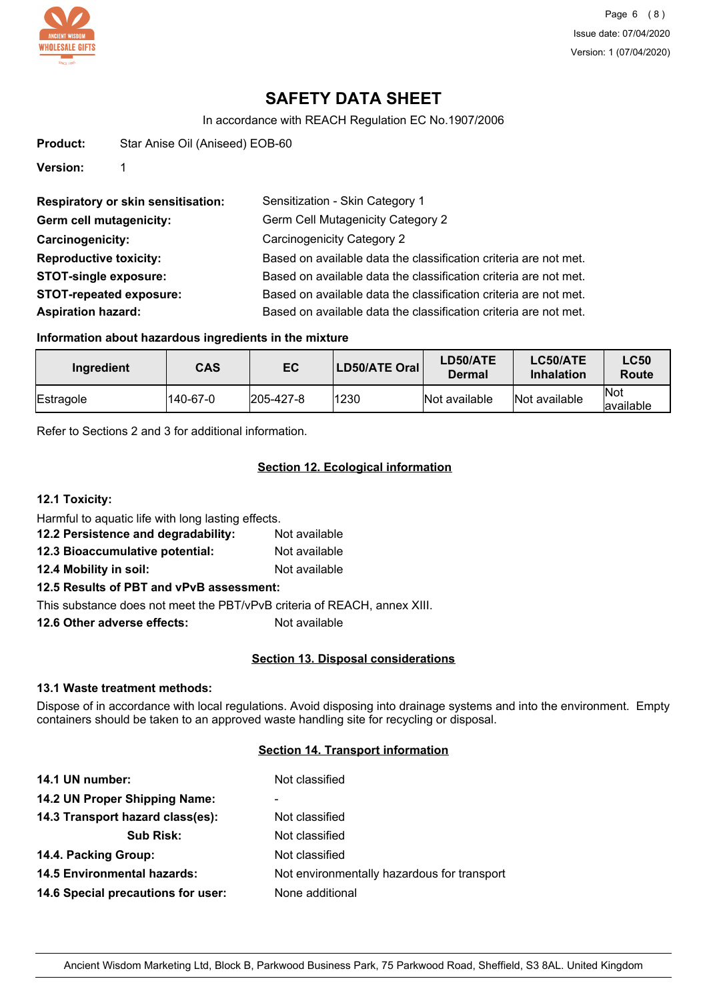

# **SAFETY DATA SHEET**

In accordance with REACH Regulation EC No.1907/2006

**Product:** Star Anise Oil (Aniseed) EOB-60

**Version:** 1

| <b>Respiratory or skin sensitisation:</b> | Sensitization - Skin Category 1                                  |
|-------------------------------------------|------------------------------------------------------------------|
| Germ cell mutagenicity:                   | <b>Germ Cell Mutagenicity Category 2</b>                         |
| <b>Carcinogenicity:</b>                   | Carcinogenicity Category 2                                       |
| <b>Reproductive toxicity:</b>             | Based on available data the classification criteria are not met. |
| <b>STOT-single exposure:</b>              | Based on available data the classification criteria are not met. |
| <b>STOT-repeated exposure:</b>            | Based on available data the classification criteria are not met. |
| <b>Aspiration hazard:</b>                 | Based on available data the classification criteria are not met. |

### **Information about hazardous ingredients in the mixture**

| Ingredient | <b>CAS</b> | EC                | LD50/ATE Oral | LD50/ATE<br>Dermal | LC50/ATE<br><b>Inhalation</b> | <b>LC50</b><br>Route    |
|------------|------------|-------------------|---------------|--------------------|-------------------------------|-------------------------|
| Estragole  | 140-67-0   | $ 205 - 427 - 8 $ | 1230          | Not available      | Not available                 | <b>Not</b><br>available |

Refer to Sections 2 and 3 for additional information.

## **Section 12. Ecological information**

**12.1 Toxicity:** Harmful to aquatic life with long lasting effects. **12.2 Persistence and degradability:** Not available **12.3 Bioaccumulative potential:** Not available **12.4 Mobility in soil:** Not available **12.5 Results of PBT and vPvB assessment:**

This substance does not meet the PBT/vPvB criteria of REACH, annex XIII.

**12.6 Other adverse effects:** Not available

### **Section 13. Disposal considerations**

## **13.1 Waste treatment methods:**

Dispose of in accordance with local regulations. Avoid disposing into drainage systems and into the environment. Empty containers should be taken to an approved waste handling site for recycling or disposal.

## **Section 14. Transport information**

| 14.1 UN number:                    | Not classified                              |
|------------------------------------|---------------------------------------------|
| 14.2 UN Proper Shipping Name:      | ۰                                           |
| 14.3 Transport hazard class(es):   | Not classified                              |
| <b>Sub Risk:</b>                   | Not classified                              |
| 14.4. Packing Group:               | Not classified                              |
| <b>14.5 Environmental hazards:</b> | Not environmentally hazardous for transport |
| 14.6 Special precautions for user: | None additional                             |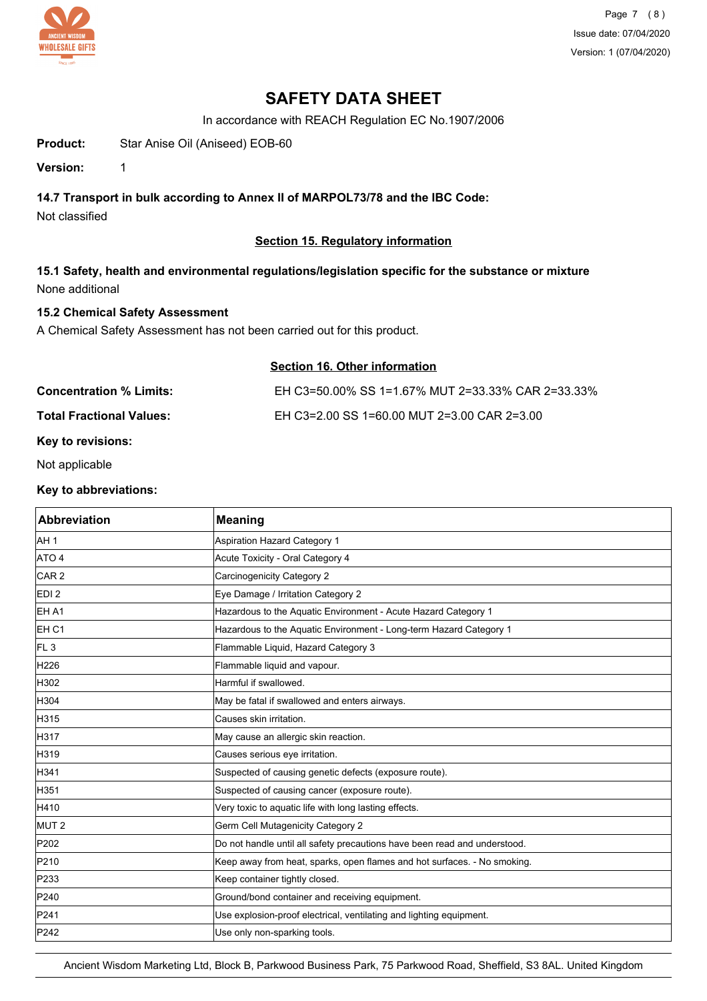

Page 7 (8) Issue date: 07/04/2020 Version: 1 (07/04/2020)

## **SAFETY DATA SHEET**

In accordance with REACH Regulation EC No.1907/2006

**Product:** Star Anise Oil (Aniseed) EOB-60

**Version:** 1

## **14.7 Transport in bulk according to Annex II of MARPOL73/78 and the IBC Code:**

Not classified

## **Section 15. Regulatory information**

**15.1 Safety, health and environmental regulations/legislation specific for the substance or mixture** None additional

## **15.2 Chemical Safety Assessment**

A Chemical Safety Assessment has not been carried out for this product.

## **Section 16. Other information**

| <b>Concentration % Limits:</b>  | EH C3=50.00% SS 1=1.67% MUT 2=33.33% CAR 2=33.33% |
|---------------------------------|---------------------------------------------------|
| <b>Total Fractional Values:</b> | EH C3=2.00 SS 1=60.00 MUT 2=3.00 CAR 2=3.00       |
|                                 |                                                   |

## **Key to revisions:**

Not applicable

### **Key to abbreviations:**

| <b>Abbreviation</b> | <b>Meaning</b>                                                            |
|---------------------|---------------------------------------------------------------------------|
| AH <sub>1</sub>     | Aspiration Hazard Category 1                                              |
| ATO 4               | Acute Toxicity - Oral Category 4                                          |
| CAR <sub>2</sub>    | Carcinogenicity Category 2                                                |
| EDI <sub>2</sub>    | Eye Damage / Irritation Category 2                                        |
| EH A1               | Hazardous to the Aquatic Environment - Acute Hazard Category 1            |
| EH <sub>C1</sub>    | Hazardous to the Aquatic Environment - Long-term Hazard Category 1        |
| FL3                 | Flammable Liquid, Hazard Category 3                                       |
| H226                | Flammable liquid and vapour.                                              |
| H302                | Harmful if swallowed.                                                     |
| H304                | May be fatal if swallowed and enters airways.                             |
| H315                | Causes skin irritation.                                                   |
| H317                | May cause an allergic skin reaction.                                      |
| H319                | Causes serious eye irritation.                                            |
| H341                | Suspected of causing genetic defects (exposure route).                    |
| H351                | Suspected of causing cancer (exposure route).                             |
| H410                | Very toxic to aquatic life with long lasting effects.                     |
| MUT <sub>2</sub>    | Germ Cell Mutagenicity Category 2                                         |
| P202                | Do not handle until all safety precautions have been read and understood. |
| P210                | Keep away from heat, sparks, open flames and hot surfaces. - No smoking.  |
| P233                | Keep container tightly closed.                                            |
| P240                | Ground/bond container and receiving equipment.                            |
| P241                | Use explosion-proof electrical, ventilating and lighting equipment.       |
| P242                | Use only non-sparking tools.                                              |